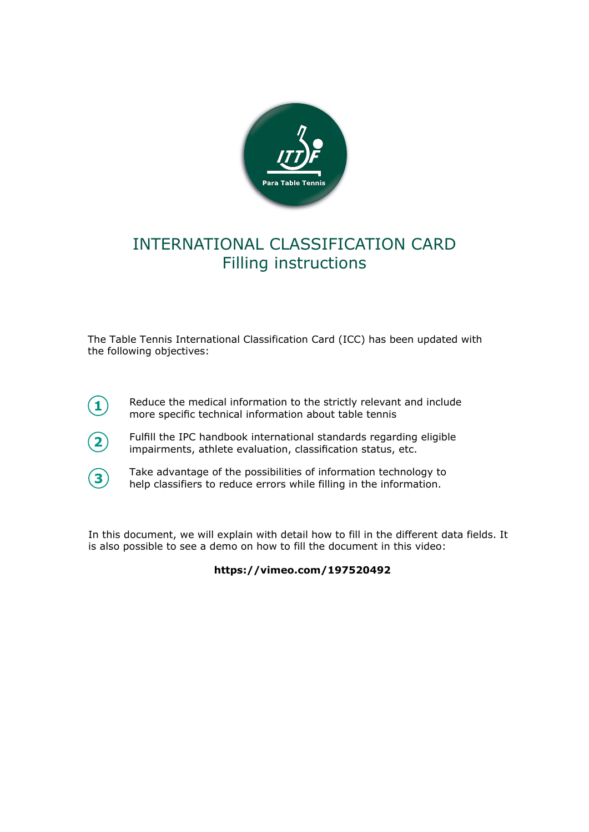

#### INTERNATIONAL CLASSIFICATION CARD Filling instructions

The Table Tennis International Classification Card (ICC) has been updated with the following objectives:

- Reduce the medical information to the strictly relevant and include more specific technical information about table tennis
- **2**

**1**

Fulfill the IPC handbook international standards regarding eligible impairments, athlete evaluation, classification status, etc.



Take advantage of the possibilities of information technology to help classifiers to reduce errors while filling in the information.

In this document, we will explain with detail how to fill in the different data fields. It is also possible to see a demo on how to fill the document in this video:

**https://vimeo.com/197520492**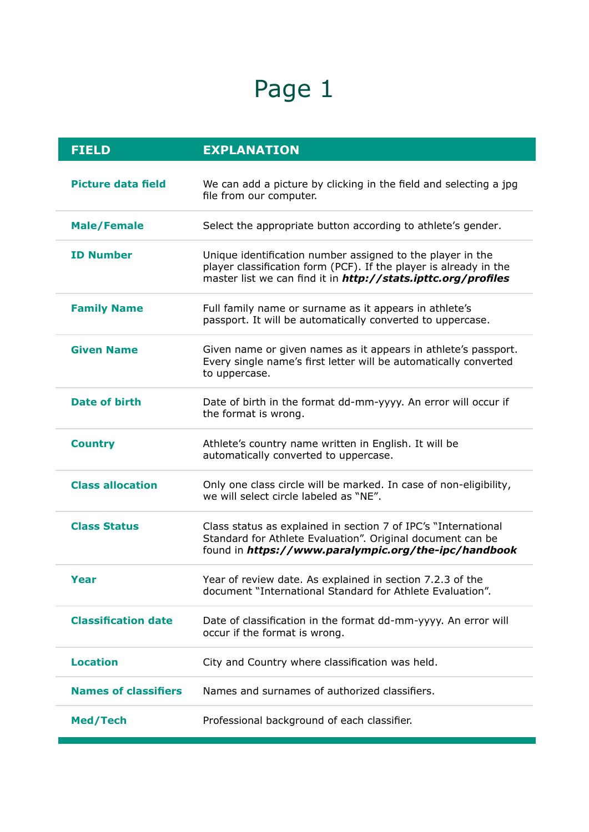# Page 1

| <b>FIELD</b>                | <b>EXPLANATION</b>                                                                                                                                                                               |
|-----------------------------|--------------------------------------------------------------------------------------------------------------------------------------------------------------------------------------------------|
| <b>Picture data field</b>   | We can add a picture by clicking in the field and selecting a jpg<br>file from our computer.                                                                                                     |
| <b>Male/Female</b>          | Select the appropriate button according to athlete's gender.                                                                                                                                     |
| <b>ID Number</b>            | Unique identification number assigned to the player in the<br>player classification form (PCF). If the player is already in the<br>master list we can find it in http://stats.ipttc.org/profiles |
| <b>Family Name</b>          | Full family name or surname as it appears in athlete's<br>passport. It will be automatically converted to uppercase.                                                                             |
| <b>Given Name</b>           | Given name or given names as it appears in athlete's passport.<br>Every single name's first letter will be automatically converted<br>to uppercase.                                              |
| <b>Date of birth</b>        | Date of birth in the format dd-mm-yyyy. An error will occur if<br>the format is wrong.                                                                                                           |
| <b>Country</b>              | Athlete's country name written in English. It will be<br>automatically converted to uppercase.                                                                                                   |
| <b>Class allocation</b>     | Only one class circle will be marked. In case of non-eligibility,<br>we will select circle labeled as "NE".                                                                                      |
| <b>Class Status</b>         | Class status as explained in section 7 of IPC's "International<br>Standard for Athlete Evaluation". Original document can be<br>found in https://www.paralympic.org/the-ipc/handbook             |
| <b>Year</b>                 | Year of review date. As explained in section 7.2.3 of the<br>document "International Standard for Athlete Evaluation".                                                                           |
| <b>Classification date</b>  | Date of classification in the format dd-mm-yyyy. An error will<br>occur if the format is wrong.                                                                                                  |
| <b>Location</b>             | City and Country where classification was held.                                                                                                                                                  |
| <b>Names of classifiers</b> | Names and surnames of authorized classifiers.                                                                                                                                                    |
| Med/Tech                    | Professional background of each classifier.                                                                                                                                                      |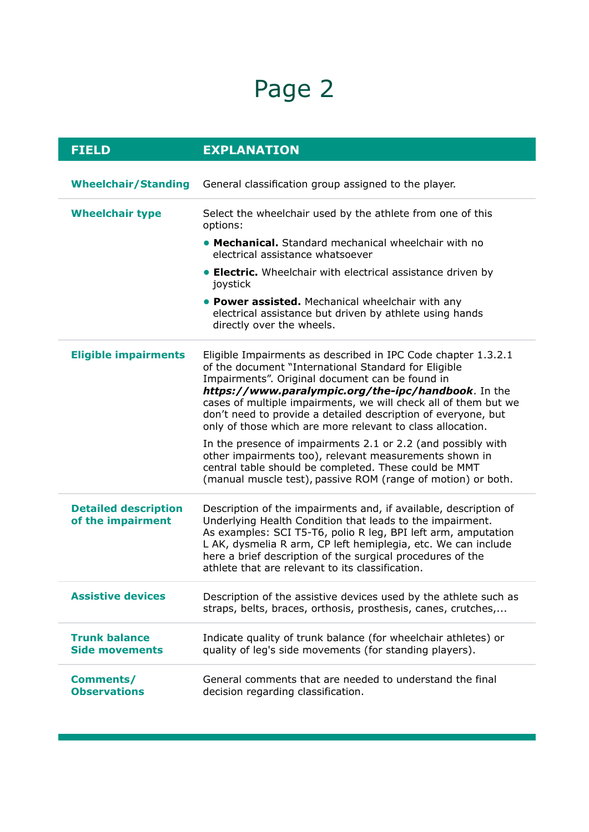## Page 2

| <b>FIELD</b>                                     | <b>EXPLANATION</b>                                                                                                                                                                                                                                                                                                                                                                                                                |
|--------------------------------------------------|-----------------------------------------------------------------------------------------------------------------------------------------------------------------------------------------------------------------------------------------------------------------------------------------------------------------------------------------------------------------------------------------------------------------------------------|
| <b>Wheelchair/Standing</b>                       | General classification group assigned to the player.                                                                                                                                                                                                                                                                                                                                                                              |
| <b>Wheelchair type</b>                           | Select the wheelchair used by the athlete from one of this<br>options:                                                                                                                                                                                                                                                                                                                                                            |
|                                                  | • Mechanical. Standard mechanical wheelchair with no<br>electrical assistance whatsoever                                                                                                                                                                                                                                                                                                                                          |
|                                                  | • Electric. Wheelchair with electrical assistance driven by<br>joystick                                                                                                                                                                                                                                                                                                                                                           |
|                                                  | • Power assisted. Mechanical wheelchair with any<br>electrical assistance but driven by athlete using hands<br>directly over the wheels.                                                                                                                                                                                                                                                                                          |
| <b>Eligible impairments</b>                      | Eligible Impairments as described in IPC Code chapter 1.3.2.1<br>of the document "International Standard for Eligible<br>Impairments". Original document can be found in<br>https://www.paralympic.org/the-ipc/handbook. In the<br>cases of multiple impairments, we will check all of them but we<br>don't need to provide a detailed description of everyone, but<br>only of those which are more relevant to class allocation. |
|                                                  | In the presence of impairments 2.1 or 2.2 (and possibly with<br>other impairments too), relevant measurements shown in<br>central table should be completed. These could be MMT<br>(manual muscle test), passive ROM (range of motion) or both.                                                                                                                                                                                   |
| <b>Detailed description</b><br>of the impairment | Description of the impairments and, if available, description of<br>Underlying Health Condition that leads to the impairment.<br>As examples: SCI T5-T6, polio R leg, BPI left arm, amputation<br>L AK, dysmelia R arm, CP left hemiplegia, etc. We can include<br>here a brief description of the surgical procedures of the<br>athlete that are relevant to its classification.                                                 |
| <b>Assistive devices</b>                         | Description of the assistive devices used by the athlete such as<br>straps, belts, braces, orthosis, prosthesis, canes, crutches,                                                                                                                                                                                                                                                                                                 |
| <b>Trunk balance</b><br><b>Side movements</b>    | Indicate quality of trunk balance (for wheelchair athletes) or<br>quality of leg's side movements (for standing players).                                                                                                                                                                                                                                                                                                         |
| Comments/<br><b>Observations</b>                 | General comments that are needed to understand the final<br>decision regarding classification.                                                                                                                                                                                                                                                                                                                                    |